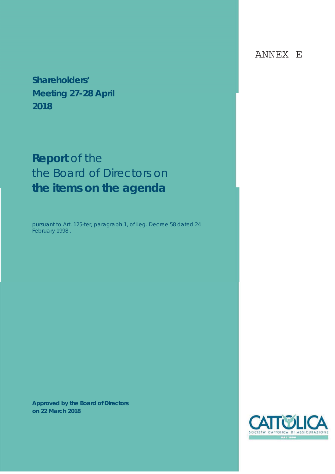**Shareholders' Meeting 27-28 April 2018**

# **Report** of the the Board of Directors on **the items on the agenda**

pursuant to Art. 125-ter, paragraph 1, of Leg. Decree 58 dated 24 February 1998 .

**Approved by the Board of Directors on 22 March 2018** 



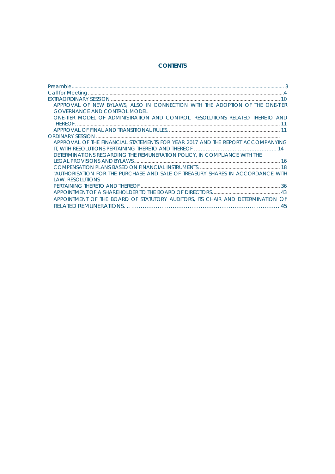#### **CONTENTS**

| APPROVAL OF NEW BYLAWS, ALSO IN CONNECTION WITH THE ADOPTION OF THE ONE-TIER   |
|--------------------------------------------------------------------------------|
| <b>GOVERNANCE AND CONTROL MODEL</b>                                            |
| ONE-TIER MODEL OF ADMINISTRATION AND CONTROL. RESOLUTIONS RELATED THERETO AND  |
|                                                                                |
|                                                                                |
|                                                                                |
| APPROVAL OF THE FINANCIAL STATEMENTS FOR YEAR 2017 AND THE REPORT ACCOMPANYING |
|                                                                                |
| DETERMINATIONS REGARDING THE REMUNERATION POLICY. IN COMPLIANCE WITH THE       |
|                                                                                |
|                                                                                |
| "AUTHORISATION FOR THE PURCHASE AND SALE OF TREASURY SHARES IN ACCORDANCE WITH |
| LAW. RESOLUTIONS                                                               |
|                                                                                |
|                                                                                |
| APPOINTMENT OF THE BOARD OF STATUTORY AUDITORS, ITS CHAIR AND DETERMINATION OF |
| 45                                                                             |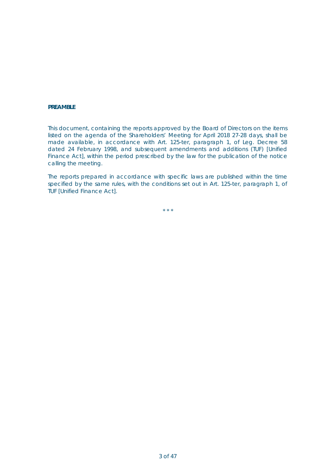#### **PREAMBLE**

This document, containing the reports approved by the Board of Directors on the items listed on the agenda of the Shareholders' Meeting for April 2018 27-28 days, shall be made available, in accordance with Art. 125-*ter,* paragraph 1, of Leg. Decree 58 dated 24 February 1998, and subsequent amendments and additions (TUF) [Unified Finance Act], within the period prescribed by the law for the publication of the notice calling the meeting.

The reports prepared in accordance with specific laws are published within the time specified by the same rules, with the conditions set out in Art. 125-*ter,* paragraph 1, of TUF [Unified Finance Act].

\* \* \*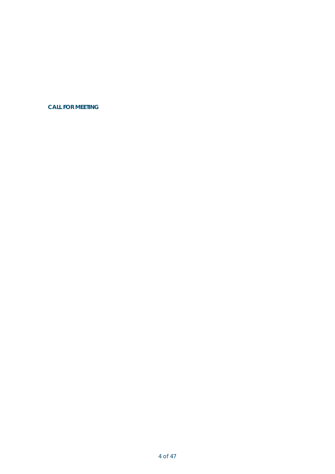**CALL FOR MEETING**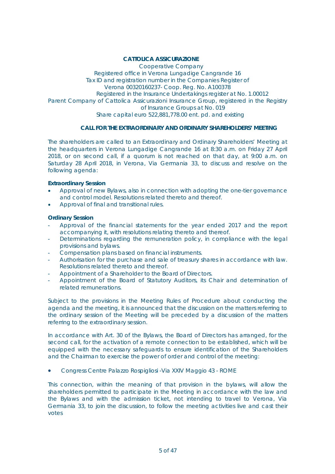#### **CATTOLICA ASSICURAZIONE**

Cooperative Company Registered office in Verona Lungadige Cangrande 16 Tax ID and registration number in the Companies Register of Verona 00320160237- Coop. Reg. No. A100378 Registered in the Insurance Undertakings register at No. 1.00012 Parent Company of Cattolica Assicurazioni Insurance Group, registered in the Registry of Insurance Groups at No. 019 Share capital euro 522,881,778.00 ent. pd. and existing

#### **CALL FOR THE EXTRAORDINARY AND ORDINARY SHAREHOLDERS' MEETING**

The shareholders are called to an Extraordinary and Ordinary Shareholders' Meeting at the headquarters in Verona Lungadige Cangrande 16 at 8:30 a.m. on Friday 27 April 2018, or on second call, if a quorum is not reached on that day, at 9:00 a.m. on Saturday 28 April 2018, in Verona, Via Germania 33, to discuss and resolve on the following agenda:

#### **Extraordinary Session**

- Approval of new Bylaws, also in connection with adopting the one-tier governance and control model. Resolutions related thereto and thereof.
- x Approval of final and transitional rules.

#### **Ordinary Session**

- Approval of the financial statements for the year ended 2017 and the report accompanying it, with resolutions relating thereto and thereof.
- Determinations regarding the remuneration policy, in compliance with the legal provisions and bylaws.
- Compensation plans based on financial instruments.
- Authorisation for the purchase and sale of treasury shares in accordance with law. Resolutions related thereto and thereof.
- Appointment of a Shareholder to the Board of Directors.
- Appointment of the Board of Statutory Auditors, its Chair and determination of related remunerations.

Subject to the provisions in the Meeting Rules of Procedure about conducting the agenda and the meeting, it is announced that the discussion on the matters referring to the ordinary session of the Meeting will be preceded by a discussion of the matters referring to the extraordinary session.

In accordance with Art. 30 of the Bylaws, the Board of Directors has arranged, for the second call, for the activation of a remote connection to be established, which will be equipped with the necessary safeguards to ensure identification of the Shareholders and the Chairman to exercise the power of order and control of the meeting:

x Congress Centre Palazzo Rospigliosi -Via XXIV Maggio 43 - ROME

This connection, within the meaning of that provision in the bylaws, will allow the shareholders permitted to participate in the Meeting in accordance with the law and the Bylaws and with the admission ticket, not intending to travel to Verona, Via Germania 33, to join the discussion, to follow the meeting activities live and cast their votes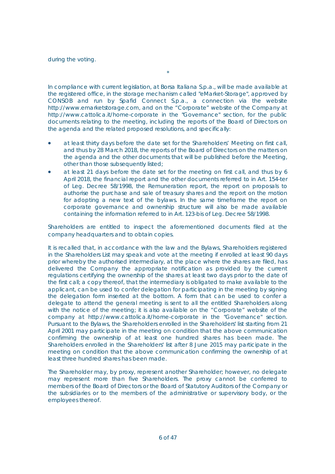during the voting.

In compliance with current legislation, at Borsa Italiana S.p.a., will be made available at the registered office, in the storage mechanism called "eMarket-Storage", approved by

\*

CONSOB and run by Spafid Connect S.p.a., a connection via the website http://www.emarketstorage.com, and on the "Corporate" website of the Company at http://www.cattolica.it/home-corporate in the "Governance" section, for the public documents relating to the meeting, including the reports of the Board of Directors on the agenda and the related proposed resolutions, and specifically:

- at least thirty days before the date set for the Shareholders' Meeting on first call, and thus by 28 March 2018, the reports of the Board of Directors on the matters on the agenda and the other documents that will be published before the Meeting, other than those subsequently listed;
- at least 21 days before the date set for the meeting on first call, and thus by 6 April 2018, the financial report and the other documents referred to in Art. 154-*ter*  of Leg. Decree 58/1998, the Remuneration report, the report on proposals to authorise the purchase and sale of treasury shares and the report on the motion for adopting a new text of the bylaws. In the same timeframe the report on corporate governance and ownership structure will also be made available containing the information referred to in Art. 123-*bis* of Leg. Decree 58/1998.

Shareholders are entitled to inspect the aforementioned documents filed at the company headquarters and to obtain copies.

It is recalled that, in accordance with the law and the Bylaws, Shareholders registered in the Shareholders List may speak and vote at the meeting if enrolled at least 90 days prior whereby the authorised intermediary, at the place where the shares are filed, has delivered the Company the appropriate notification as provided by the current regulations certifying the ownership of the shares at least two days prior to the date of the first call; a copy thereof, that the intermediary is obligated to make available to the applicant, can be used to confer delegation for participating in the meeting by signing the delegation form inserted at the bottom. A form that can be used to confer a delegate to attend the general meeting is sent to all the entitled Shareholders along with the notice of the meeting; it is also available on the "Corporate" website of the company at http://www.cattolica.it/home-corporate in the "Governance" section. Pursuant to the Bylaws, the Shareholders enrolled in the Shareholders' list starting from 21 April 2001 may participate in the meeting on condition that the above communication confirming the ownership of at least one hundred shares has been made. The Shareholders enrolled in the Shareholders' list after 8 June 2015 may participate in the meeting on condition that the above communication confirming the ownership of at least three hundred shares has been made.

The Shareholder may, by proxy, represent another Shareholder; however, no delegate may represent more than five Shareholders. The proxy cannot be conferred to members of the Board of Directors or the Board of Statutory Auditors of the Company or the subsidiaries or to the members of the administrative or supervisory body, or the employees thereof.

6 of 47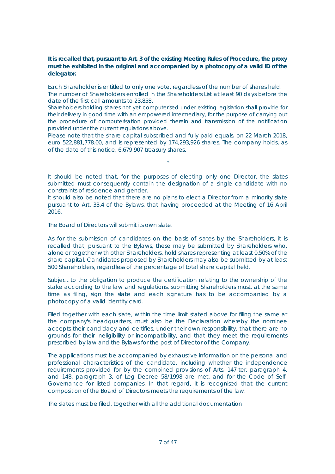#### **It is recalled that, pursuant to Art. 3 of the existing Meeting Rules of Procedure, the proxy must be exhibited in the original and accompanied by a photocopy of a valid ID of the delegator.**

Each Shareholder is entitled to only one vote, regardless of the number of shares held. The number of Shareholders enrolled in the Shareholders List at least 90 days before the date of the first call amounts to 23,858.

Shareholders holding shares not yet computerised under existing legislation shall provide for their delivery in good time with an empowered intermediary, for the purpose of carrying out the procedure of computerisation provided therein and transmission of the notification provided under the current regulations above.

Please note that the share capital subscribed and fully paid equals, on 22 March 2018, euro 522,881,778.00, and is represented by 174,293,926 shares. The company holds, as of the date of this notice, 6,679,907 treasury shares.

It should be noted that, for the purposes of electing only one Director, the slates submitted must consequently contain the designation of a single candidate with no constraints of residence and gender.

\*

It should also be noted that there are no plans to elect a Director from a minority slate pursuant to Art. 33.4 of the Bylaws, that having proceeded at the Meeting of 16 April 2016.

The Board of Directors will submit its own slate.

As for the submission of candidates on the basis of slates by the Shareholders, it is recalled that, pursuant to the Bylaws, these may be submitted by Shareholders who, alone or together with other Shareholders, hold shares representing at least 0.50% of the share capital. Candidates proposed by Shareholders may also be submitted by at least 500 Shareholders, regardless of the percentage of total share capital held.

Subject to the obligation to produce the certification relating to the ownership of the stake according to the law and regulations, submitting Shareholders must, at the same time as filing, sign the slate and each signature has to be accompanied by a photocopy of a valid identity card.

Filed together with each slate, within the time limit stated above for filing the same at the company's headquarters, must also be the Declaration whereby the nominee accepts their candidacy and certifies, under their own responsibility, that there are no grounds for their ineligibility or incompatibility, and that they meet the requirements prescribed by law and the Bylaws for the post of Director of the Company.

The applications must be accompanied by exhaustive information on the personal and professional characteristics of the candidate, including whether the independence requirements provided for by the combined provisions of Arts. 147-*ter,* paragraph 4, and 148, paragraph 3, of Leg Decree 58/1998 are met, and for the Code of Self-Governance for listed companies. In that regard, it is recognised that the current composition of the Board of Directors meets the requirements of the law.

The slates must be filed, together with all the additional documentation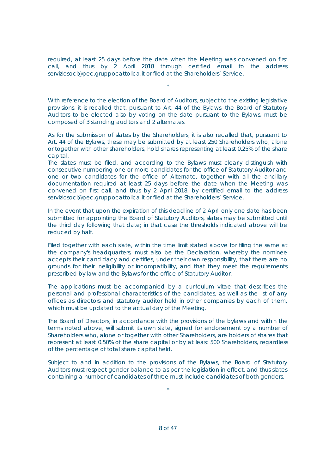required, at least 25 days before the date when the Meeting was convened on first call, and thus by 2 April 2018 through certified email to the address serviziosoci@pec.gruppocattolica.it or filed at the Shareholders' Service.

\*

With reference to the election of the Board of Auditors, subject to the existing legislative provisions, it is recalled that, pursuant to Art. 44 of the Bylaws, the Board of Statutory Auditors to be elected also by voting on the slate pursuant to the Bylaws, must be composed of 3 standing auditors and 2 alternates.

As for the submission of slates by the Shareholders, it is also recalled that, pursuant to Art. 44 of the Bylaws, these may be submitted by at least 250 Shareholders who, alone or together with other shareholders, hold shares representing at least 0.25% of the share capital.

The slates must be filed, and according to the Bylaws must clearly distinguish with consecutive numbering one or more candidates for the office of Statutory Auditor and one or two candidates for the office of Alternate, together with all the ancillary documentation required at least 25 days before the date when the Meeting was convened on first call, and thus by 2 April 2018, by certified email to the address serviziosoci@pec.gruppocattolica.it or filed at the Shareholders' Service.

In the event that upon the expiration of this deadline of 2 April only one slate has been submitted for appointing the Board of Statutory Auditors, slates may be submitted until the third day following that date; in that case the thresholds indicated above will be reduced by half.

Filed together with each slate, within the time limit stated above for filing the same at the company's headquarters, must also be the Declaration, whereby the nominee accepts their candidacy and certifies, under their own responsibility, that there are no grounds for their ineligibility or incompatibility, and that they meet the requirements prescribed by law and the Bylaws for the office of Statutory Auditor.

The applications must be accompanied by a curriculum vitae that describes the personal and professional characteristics of the candidates, as well as the list of any offices as directors and statutory auditor held in other companies by each of them, which must be updated to the actual day of the Meeting.

The Board of Directors, in accordance with the provisions of the bylaws and within the terms noted above, will submit its own slate, signed for endorsement by a number of Shareholders who, alone or together with other Shareholders, are holders of shares that represent at least 0.50% of the share capital or by at least 500 Shareholders, regardless of the percentage of total share capital held.

Subject to and in addition to the provisions of the Bylaws, the Board of Statutory Auditors must respect gender balance to as per the legislation in effect, and thus slates containing a number of candidates of three must include candidates of both genders.

\*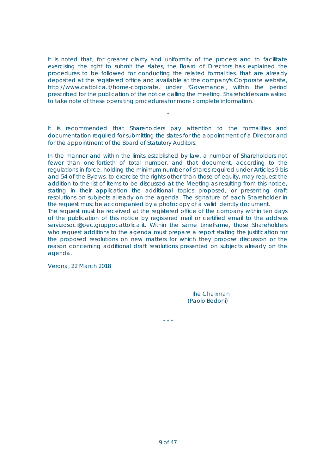It is noted that, for greater clarity and uniformity of the process and to facilitate exercising the right to submit the slates, the Board of Directors has explained the procedures to be followed for conducting the related formalities, that are already deposited at the registered office and available at the company's Corporate website, http://www.cattolica.it/home-corporate, under "Governance", within the period prescribed for the publication of the notice calling the meeting. Shareholders are asked to take note of these operating procedures for more complete information.

It is recommended that Shareholders pay attention to the formalities and documentation required for submitting the slates for the appointment of a Director and for the appointment of the Board of Statutory Auditors.

\*

In the manner and within the limits established by law, a number of Shareholders not fewer than one-fortieth of total number, and that document, according to the regulations in force, holding the minimum number of shares required under Articles 9-*bis* and 54 of the Bylaws, to exercise the rights other than those of equity, may request the addition to the list of items to be discussed at the Meeting as resulting from this notice, stating in their application the additional topics proposed, or presenting draft resolutions on subjects already on the agenda. The signature of each Shareholder in the request must be accompanied by a photocopy of a valid identity document.

The request must be received at the registered office of the company within ten days of the publication of this notice by registered mail or certified email to the address serviziosoci@pec.gruppocattolica.it. Within the same timeframe, those Shareholders who request additions to the agenda must prepare a report stating the justification for the proposed resolutions on new matters for which they propose discussion or the reason concerning additional draft resolutions presented on subjects already on the agenda.

\* \* \*

Verona, 22 March 2018

The Chairman (Paolo Bedoni)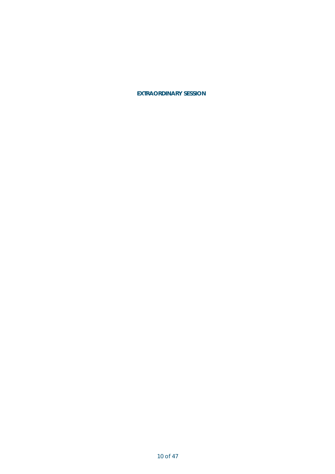**EXTRAORDINARY SESSION**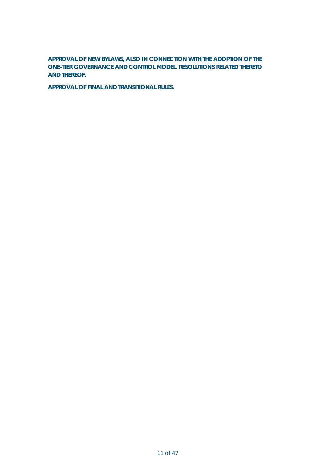**APPROVAL OF NEW BYLAWS, ALSO IN CONNECTION WITH THE ADOPTION OF THE ONE-TIER GOVERNANCE AND CONTROL MODEL. RESOLUTIONS RELATED THERETO AND THEREOF.**

**APPROVAL OF FINAL AND TRANSITIONAL RULES.**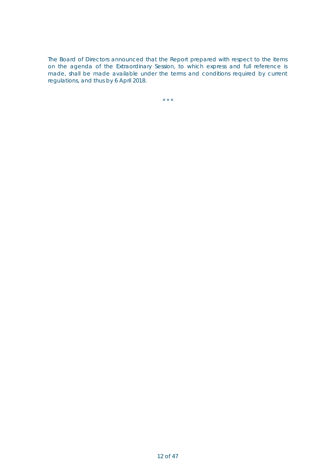The Board of Directors announced that the Report prepared with respect to the items on the agenda of the Extraordinary Session, to which express and full reference is made, shall be made available under the terms and conditions required by current regulations, and thus by 6 April 2018.

 $\star$   $\star$   $\star$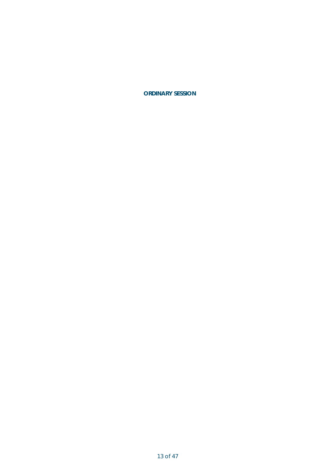**ORDINARY SESSION**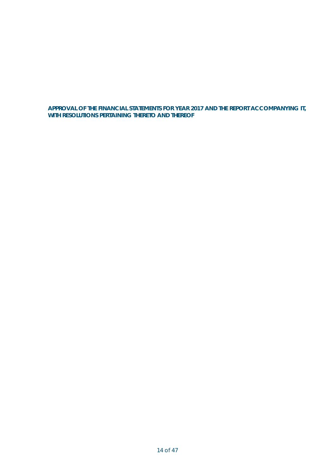#### **APPROVAL OF THE FINANCIAL STATEMENTS FOR YEAR 2017 AND THE REPORT ACCOMPANYING IT, WITH RESOLUTIONS PERTAINING THERETO AND THEREOF**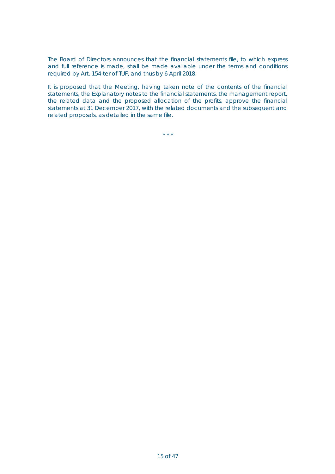The Board of Directors announces that the financial statements file, to which express and full reference is made, shall be made available under the terms and conditions required by Art. 154-*ter* of TUF, and thus by 6 April 2018.

It is proposed that the Meeting, having taken note of the contents of the financial statements, the Explanatory notes to the financial statements, the management report, the related data and the proposed allocation of the profits, approve the financial statements at 31 December 2017, with the related documents and the subsequent and related proposals, as detailed in the same file.

\* \* \*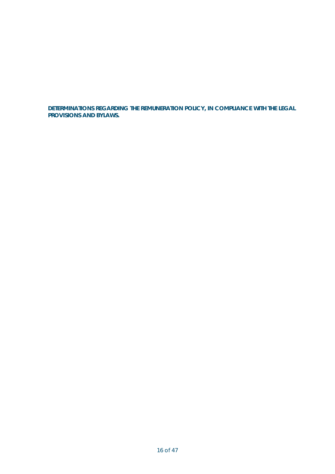**DETERMINATIONS REGARDING THE REMUNERATION POLICY, IN COMPLIANCE WITH THE LEGAL PROVISIONS AND BYLAWS.**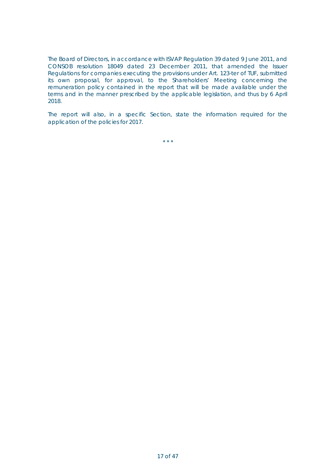The Board of Directors, in accordance with ISVAP Regulation 39 dated 9 June 2011, and CONSOB resolution 18049 dated 23 December 2011, that amended the Issuer Regulations for companies executing the provisions under Art. 123-*ter* of TUF, submitted its own proposal, for approval, to the Shareholders' Meeting concerning the remuneration policy contained in the report that will be made available under the terms and in the manner prescribed by the applicable legislation, and thus by 6 April 2018.

The report will also, in a specific Section, state the information required for the application of the policies for 2017.

\* \* \*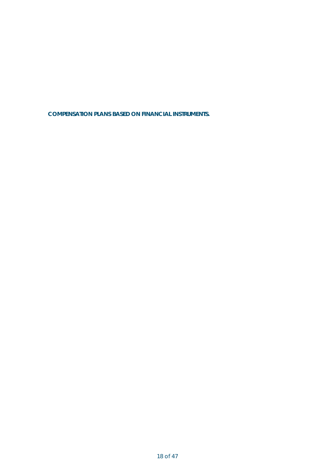**COMPENSATION PLANS BASED ON FINANCIAL INSTRUMENTS.**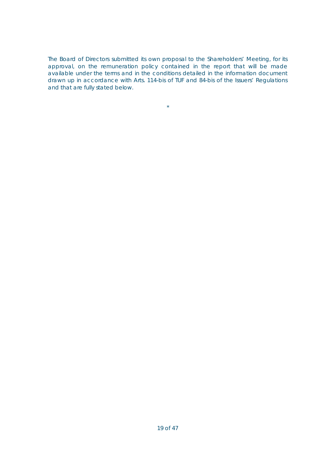The Board of Directors submitted its own proposal to the Shareholders' Meeting, for its approval, on the remuneration policy contained in the report that will be made available under the terms and in the conditions detailed in the information document drawn up in accordance with Arts. 114-*bis* of TUF and 84-*bis* of the Issuers' Regulations and that are fully stated below.

 $\star$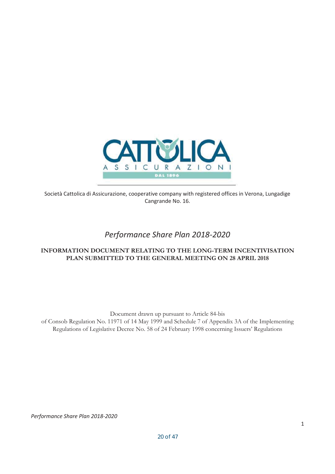

Società Cattolica di Assicurazione, cooperative company with registered offices in Verona, Lungadige Cangrande No. 16.

# *Performance Share Plan 2018-2020*

#### **INFORMATION DOCUMENT RELATING TO THE LONG-TERM INCENTIVISATION PLAN SUBMITTED TO THE GENERAL MEETING ON 28 APRIL 2018**

Document drawn up pursuant to Article 84-bis of Consob Regulation No. 11971 of 14 May 1999 and Schedule 7 of Appendix 3A of the Implementing Regulations of Legislative Decree No. 58 of 24 February 1998 concerning Issuers' Regulations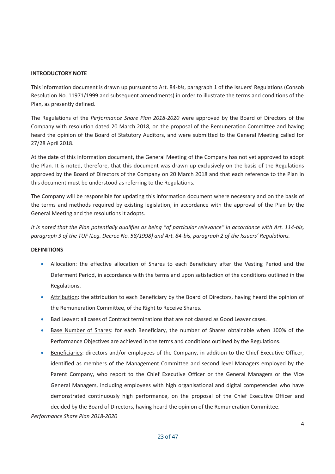#### **INTRODUCTORY NOTE**

This information document is drawn up pursuant to Art. 84-*bis*, paragraph 1 of the Issuers' Regulations (Consob Resolution No. 11971/1999 and subsequent amendments) in order to illustrate the terms and conditions of the Plan, as presently defined.

The Regulations of the *Performance Share Plan 2018-2020* were approved by the Board of Directors of the Company with resolution dated 20 March 2018, on the proposal of the Remuneration Committee and having heard the opinion of the Board of Statutory Auditors, and were submitted to the General Meeting called for 27/28 April 2018.

At the date of this information document, the General Meeting of the Company has not yet approved to adopt the Plan. It is noted, therefore, that this document was drawn up exclusively on the basis of the Regulations approved by the Board of Directors of the Company on 20 March 2018 and that each reference to the Plan in this document must be understood as referring to the Regulations.

The Company will be responsible for updating this information document where necessary and on the basis of the terms and methods required by existing legislation, in accordance with the approval of the Plan by the General Meeting and the resolutions it adopts.

*It is noted that the Plan potentially qualifies as being "of particular relevance" in accordance with Art. 114-bis, paragraph 3 of the TUF (Leg. Decree No. 58/1998) and Art. 84-bis, paragraph 2 of the Issuers' Regulations.*

#### **DEFINITIONS**

- Allocation: the effective allocation of Shares to each Beneficiary after the Vesting Period and the Deferment Period, in accordance with the terms and upon satisfaction of the conditions outlined in the Regulations.
- Attribution: the attribution to each Beneficiary by the Board of Directors, having heard the opinion of the Remuneration Committee, of the Right to Receive Shares.
- Bad Leaver: all cases of Contract terminations that are not classed as Good Leaver cases.
- Base Number of Shares: for each Beneficiary, the number of Shares obtainable when 100% of the Performance Objectives are achieved in the terms and conditions outlined by the Regulations.
- **•** Beneficiaries: directors and/or employees of the Company, in addition to the Chief Executive Officer, identified as members of the Management Committee and second level Managers employed by the Parent Company, who report to the Chief Executive Officer or the General Managers or the Vice General Managers, including employees with high organisational and digital competencies who have demonstrated continuously high performance, on the proposal of the Chief Executive Officer and decided by the Board of Directors, having heard the opinion of the Remuneration Committee.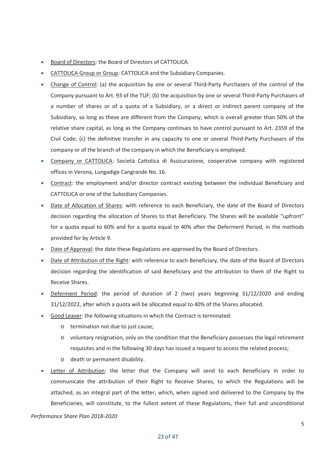- Board of Directors: the Board of Directors of CATTOLICA.
- CATTOLICA Group or Group: CATTOLICA and the Subsidiary Companies.
- Change of Control: (a) the acquisition by one or several Third-Party Purchasers of the control of the Company pursuant to Art. 93 of the TUF; (b) the acquisition by one or several Third-Party Purchasers of a number of shares or of a quota of a Subsidiary, or a direct or indirect parent company of the Subsidiary, so long as these are different from the Company, which is overall greater than 50% of the relative share capital, as long as the Company continues to have control pursuant to Art. 2359 of the Civil Code; (c) the definitive transfer in any capacity to one or several Third-Party Purchasers of the company or of the branch of the company in which the Beneficiary is employed.
- Company or CATTOLICA: Società Cattolica di Assicurazione, cooperative company with registered offices in Verona, Lungadige Cangrande No. 16.
- Contract: the employment and/or director contract existing between the individual Beneficiary and CATTOLICA or one of the Subsidiary Companies.
- Date of Allocation of Shares: with reference to each Beneficiary, the date of the Board of Directors decision regarding the allocation of Shares to that Beneficiary. The Shares will be available "upfront" for a quota equal to 60% and for a quota equal to 40% after the Deferment Period, in the methods provided for by Article 9.
- Date of Approval: the date these Regulations are approved by the Board of Directors.
- Date of Attribution of the Right: with reference to each Beneficiary, the date of the Board of Directors decision regarding the identification of said Beneficiary and the attribution to them of the Right to Receive Shares.
- Deferment Period: the period of duration of 2 (two) years beginning 31/12/2020 and ending 31/12/2022, after which a quota will be allocated equal to 40% of the Shares allocated.
- Good Leaver: the following situations in which the Contract is terminated:
	- o termination not due to just cause;
	- o voluntary resignation, only on the condition that the Beneficiary possesses the legal retirement requisites and in the following 30 days has issued a request to access the related process;
	- o death or permanent disability.
- Letter of Attribution: the letter that the Company will send to each Beneficiary in order to communicate the attribution of their Right to Receive Shares, to which the Regulations will be attached, as an integral part of the letter, which, when signed and delivered to the Company by the Beneficiaries, will constitute, to the fullest extent of these Regulations, their full and unconditional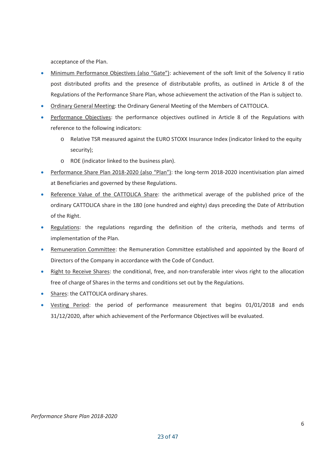acceptance of the Plan.

- Minimum Performance Objectives (also "Gate"): achievement of the soft limit of the Solvency II ratio post distributed profits and the presence of distributable profits, as outlined in Article 8 of the Regulations of the Performance Share Plan, whose achievement the activation of the Plan is subject to.
- Ordinary General Meeting: the Ordinary General Meeting of the Members of CATTOLICA.
- Performance Objectives: the performance objectives outlined in Article 8 of the Regulations with reference to the following indicators:
	- o Relative TSR measured against the EURO STOXX Insurance Index (indicator linked to the equity security);
	- o ROE (indicator linked to the business plan).
- Performance Share Plan 2018-2020 (also "Plan"): the long-term 2018-2020 incentivisation plan aimed at Beneficiaries and governed by these Regulations.
- Reference Value of the CATTOLICA Share: the arithmetical average of the published price of the ordinary CATTOLICA share in the 180 (one hundred and eighty) days preceding the Date of Attribution of the Right.
- Regulations: the regulations regarding the definition of the criteria, methods and terms of implementation of the Plan.
- Remuneration Committee: the Remuneration Committee established and appointed by the Board of Directors of the Company in accordance with the Code of Conduct.
- Right to Receive Shares: the conditional, free, and non-transferable inter vivos right to the allocation free of charge of Shares in the terms and conditions set out by the Regulations.
- Shares: the CATTOLICA ordinary shares.
- Vesting Period: the period of performance measurement that begins 01/01/2018 and ends 31/12/2020, after which achievement of the Performance Objectives will be evaluated.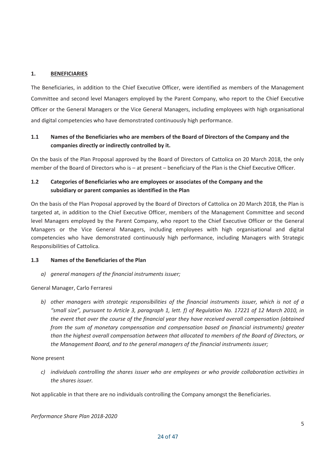#### **1. BENEFICIARIES**

The Beneficiaries, in addition to the Chief Executive Officer, were identified as members of the Management Committee and second level Managers employed by the Parent Company, who report to the Chief Executive Officer or the General Managers or the Vice General Managers, including employees with high organisational and digital competencies who have demonstrated continuously high performance.

## **1.1 Names of the Beneficiaries who are members of the Board of Directors of the Company and the companies directly or indirectly controlled by it.**

On the basis of the Plan Proposal approved by the Board of Directors of Cattolica on 20 March 2018, the only member of the Board of Directors who is – at present – beneficiary of the Plan is the Chief Executive Officer.

## **1.2 Categories of Beneficiaries who are employees or associates of the Company and the subsidiary or parent companies as identified in the Plan**

On the basis of the Plan Proposal approved by the Board of Directors of Cattolica on 20 March 2018, the Plan is targeted at, in addition to the Chief Executive Officer, members of the Management Committee and second level Managers employed by the Parent Company, who report to the Chief Executive Officer or the General Managers or the Vice General Managers, including employees with high organisational and digital competencies who have demonstrated continuously high performance, including Managers with Strategic Responsibilities of Cattolica.

#### **1.3 Names of the Beneficiaries of the Plan**

*a) general managers of the financial instruments issuer;*

General Manager, Carlo Ferraresi

*b) other managers with strategic responsibilities of the financial instruments issuer, which is not of a "small size", pursuant to Article 3, paragraph 1, lett. f) of Regulation No. 17221 of 12 March 2010, in the event that over the course of the financial year they have received overall compensation (obtained from the sum of monetary compensation and compensation based on financial instruments) greater than the highest overall compensation between that allocated to members of the Board of Directors, or the Management Board, and to the general managers of the financial instruments issuer;*

#### None present

*c) individuals controlling the shares issuer who are employees or who provide collaboration activities in the shares issuer.*

Not applicable in that there are no individuals controlling the Company amongst the Beneficiaries.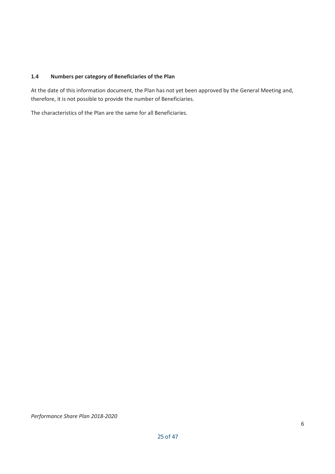#### **1.4 Numbers per category of Beneficiaries of the Plan**

At the date of this information document, the Plan has not yet been approved by the General Meeting and, therefore, it is not possible to provide the number of Beneficiaries.

The characteristics of the Plan are the same for all Beneficiaries.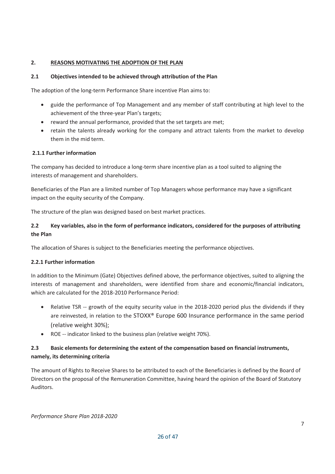#### **2. REASONS MOTIVATING THE ADOPTION OF THE PLAN**

#### **2.1 Objectives intended to be achieved through attribution of the Plan**

The adoption of the long-term Performance Share incentive Plan aims to:

- guide the performance of Top Management and any member of staff contributing at high level to the achievement of the three-year Plan's targets;
- reward the annual performance, provided that the set targets are met;
- retain the talents already working for the company and attract talents from the market to develop them in the mid term.

## **2.1.1 Further information**

The company has decided to introduce a long-term share incentive plan as a tool suited to aligning the interests of management and shareholders.

Beneficiaries of the Plan are a limited number of Top Managers whose performance may have a significant impact on the equity security of the Company.

The structure of the plan was designed based on best market practices.

## **2.2 Key variables, also in the form of performance indicators, considered for the purposes of attributing the Plan**

The allocation of Shares is subject to the Beneficiaries meeting the performance objectives.

#### **2.2.1 Further information**

In addition to the Minimum (Gate) Objectives defined above, the performance objectives, suited to aligning the interests of management and shareholders, were identified from share and economic/financial indicators, which are calculated for the 2018-2010 Performance Period:

- Relative TSR -- growth of the equity security value in the 2018-2020 period plus the dividends if they are reinvested, in relation to the STOXX® Europe 600 Insurance performance in the same period (relative weight 30%);
- $\bullet$  ROE -- indicator linked to the business plan (relative weight 70%).

## **2.3 Basic elements for determining the extent of the compensation based on financial instruments, namely, its determining criteria**

The amount of Rights to Receive Shares to be attributed to each of the Beneficiaries is defined by the Board of Directors on the proposal of the Remuneration Committee, having heard the opinion of the Board of Statutory Auditors.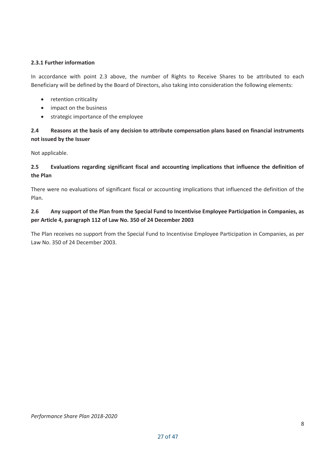#### **2.3.1 Further information**

In accordance with point 2.3 above, the number of Rights to Receive Shares to be attributed to each Beneficiary will be defined by the Board of Directors, also taking into consideration the following elements:

- retention criticality
- impact on the business
- strategic importance of the employee

## **2.4 Reasons at the basis of any decision to attribute compensation plans based on financial instruments not issued by the Issuer**

Not applicable.

#### **2.5 Evaluations regarding significant fiscal and accounting implications that influence the definition of the Plan**

There were no evaluations of significant fiscal or accounting implications that influenced the definition of the Plan.

## **2.6 Any support of the Plan from the Special Fund to Incentivise Employee Participation in Companies, as per Article 4, paragraph 112 of Law No. 350 of 24 December 2003**

The Plan receives no support from the Special Fund to Incentivise Employee Participation in Companies, as per Law No. 350 of 24 December 2003.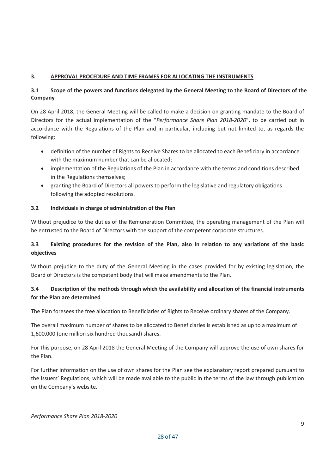#### **3. APPROVAL PROCEDURE AND TIME FRAMES FOR ALLOCATING THE INSTRUMENTS**

## **3.1 Scope of the powers and functions delegated by the General Meeting to the Board of Directors of the Company**

On 28 April 2018, the General Meeting will be called to make a decision on granting mandate to the Board of Directors for the actual implementation of the "*Performance Share Plan 2018-2020*", to be carried out in accordance with the Regulations of the Plan and in particular, including but not limited to, as regards the following:

- definition of the number of Rights to Receive Shares to be allocated to each Beneficiary in accordance with the maximum number that can be allocated;
- implementation of the Regulations of the Plan in accordance with the terms and conditions described in the Regulations themselves;
- granting the Board of Directors all powers to perform the legislative and regulatory obligations following the adopted resolutions.

#### **3.2 Individuals in charge of administration of the Plan**

Without prejudice to the duties of the Remuneration Committee, the operating management of the Plan will be entrusted to the Board of Directors with the support of the competent corporate structures.

## **3.3 Existing procedures for the revision of the Plan, also in relation to any variations of the basic objectives**

Without prejudice to the duty of the General Meeting in the cases provided for by existing legislation, the Board of Directors is the competent body that will make amendments to the Plan.

## **3.4 Description of the methods through which the availability and allocation of the financial instruments for the Plan are determined**

The Plan foresees the free allocation to Beneficiaries of Rights to Receive ordinary shares of the Company.

The overall maximum number of shares to be allocated to Beneficiaries is established as up to a maximum of 1,600,000 (one million six hundred thousand) shares.

For this purpose, on 28 April 2018 the General Meeting of the Company will approve the use of own shares for the Plan.

For further information on the use of own shares for the Plan see the explanatory report prepared pursuant to the Issuers' Regulations, which will be made available to the public in the terms of the law through publication on the Company's website.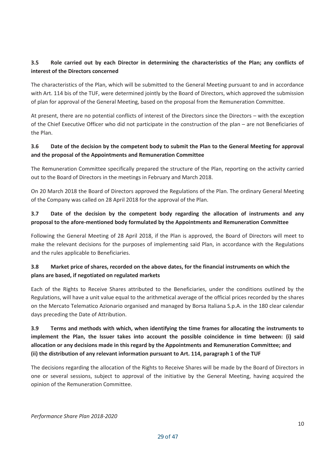## **3.5 Role carried out by each Director in determining the characteristics of the Plan; any conflicts of interest of the Directors concerned**

The characteristics of the Plan, which will be submitted to the General Meeting pursuant to and in accordance with Art. 114 bis of the TUF, were determined jointly by the Board of Directors, which approved the submission of plan for approval of the General Meeting, based on the proposal from the Remuneration Committee.

At present, there are no potential conflicts of interest of the Directors since the Directors – with the exception of the Chief Executive Officer who did not participate in the construction of the plan – are not Beneficiaries of the Plan.

## **3.6 Date of the decision by the competent body to submit the Plan to the General Meeting for approval and the proposal of the Appointments and Remuneration Committee**

The Remuneration Committee specifically prepared the structure of the Plan, reporting on the activity carried out to the Board of Directors in the meetings in February and March 2018.

On 20 March 2018 the Board of Directors approved the Regulations of the Plan. The ordinary General Meeting of the Company was called on 28 April 2018 for the approval of the Plan.

## **3.7 Date of the decision by the competent body regarding the allocation of instruments and any proposal to the afore-mentioned body formulated by the Appointments and Remuneration Committee**

Following the General Meeting of 28 April 2018, if the Plan is approved, the Board of Directors will meet to make the relevant decisions for the purposes of implementing said Plan, in accordance with the Regulations and the rules applicable to Beneficiaries.

## **3.8 Market price of shares, recorded on the above dates, for the financial instruments on which the plans are based, if negotiated on regulated markets**

Each of the Rights to Receive Shares attributed to the Beneficiaries, under the conditions outlined by the Regulations, will have a unit value equal to the arithmetical average of the official prices recorded by the shares on the Mercato Telematico Azionario organised and managed by Borsa Italiana S.p.A. in the 180 clear calendar days preceding the Date of Attribution.

## **3.9 Terms and methods with which, when identifying the time frames for allocating the instruments to implement the Plan, the Issuer takes into account the possible coincidence in time between: (i) said allocation or any decisions made in this regard by the Appointments and Remuneration Committee; and (ii) the distribution of any relevant information pursuant to Art. 114, paragraph 1 of the TUF**

The decisions regarding the allocation of the Rights to Receive Shares will be made by the Board of Directors in one or several sessions, subject to approval of the initiative by the General Meeting, having acquired the opinion of the Remuneration Committee.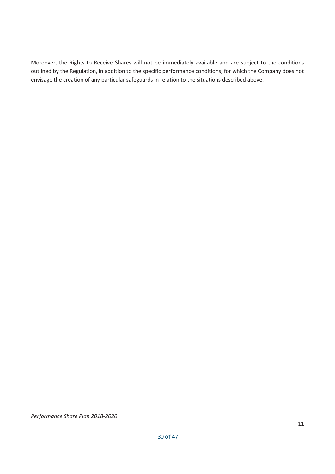Moreover, the Rights to Receive Shares will not be immediately available and are subject to the conditions outlined by the Regulation, in addition to the specific performance conditions, for which the Company does not envisage the creation of any particular safeguards in relation to the situations described above.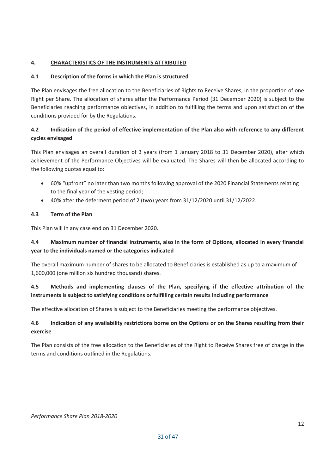## **4. CHARACTERISTICS OF THE INSTRUMENTS ATTRIBUTED**

# **4.1 Description of the forms in which the Plan is structured**

The Plan envisages the free allocation to the Beneficiaries of Rights to Receive Shares, in the proportion of one Right per Share. The allocation of shares after the Performance Period (31 December 2020) is subject to the Beneficiaries reaching performance objectives, in addition to fulfilling the terms and upon satisfaction of the conditions provided for by the Regulations.

# **4.2 Indication of the period of effective implementation of the Plan also with reference to any different cycles envisaged**

This Plan envisages an overall duration of 3 years (from 1 January 2018 to 31 December 2020), after which achievement of the Performance Objectives will be evaluated. The Shares will then be allocated according to the following quotas equal to:

- 60% "upfront" no later than two months following approval of the 2020 Financial Statements relating to the final year of the vesting period;
- $\bullet$  40% after the deferment period of 2 (two) years from 31/12/2020 until 31/12/2022.

# **4.3 Term of the Plan**

This Plan will in any case end on 31 December 2020.

# **4.4 Maximum number of financial instruments, also in the form of Options, allocated in every financial year to the individuals named or the categories indicated**

The overall maximum number of shares to be allocated to Beneficiaries is established as up to a maximum of 1,600,000 (one million six hundred thousand) shares.

# **4.5 Methods and implementing clauses of the Plan, specifying if the effective attribution of the instruments is subject to satisfying conditions or fulfilling certain results including performance**

The effective allocation of Shares is subject to the Beneficiaries meeting the performance objectives.

# **4.6 Indication of any availability restrictions borne on the Options or on the Shares resulting from their exercise**

The Plan consists of the free allocation to the Beneficiaries of the Right to Receive Shares free of charge in the terms and conditions outlined in the Regulations.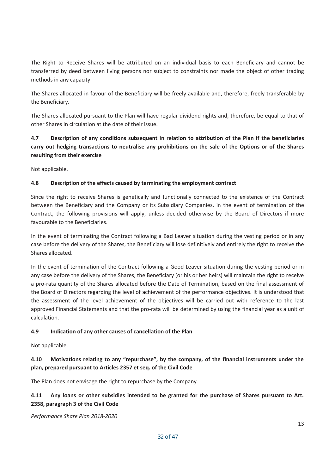The Right to Receive Shares will be attributed on an individual basis to each Beneficiary and cannot be transferred by deed between living persons nor subject to constraints nor made the object of other trading methods in any capacity.

The Shares allocated in favour of the Beneficiary will be freely available and, therefore, freely transferable by the Beneficiary.

The Shares allocated pursuant to the Plan will have regular dividend rights and, therefore, be equal to that of other Shares in circulation at the date of their issue.

## **4.7 Description of any conditions subsequent in relation to attribution of the Plan if the beneficiaries carry out hedging transactions to neutralise any prohibitions on the sale of the Options or of the Shares resulting from their exercise**

Not applicable.

#### **4.8 Description of the effects caused by terminating the employment contract**

Since the right to receive Shares is genetically and functionally connected to the existence of the Contract between the Beneficiary and the Company or its Subsidiary Companies, in the event of termination of the Contract, the following provisions will apply, unless decided otherwise by the Board of Directors if more favourable to the Beneficiaries.

In the event of terminating the Contract following a Bad Leaver situation during the vesting period or in any case before the delivery of the Shares, the Beneficiary will lose definitively and entirely the right to receive the Shares allocated.

In the event of termination of the Contract following a Good Leaver situation during the vesting period or in any case before the delivery of the Shares, the Beneficiary (or his or her heirs) will maintain the right to receive a pro-rata quantity of the Shares allocated before the Date of Termination, based on the final assessment of the Board of Directors regarding the level of achievement of the performance objectives. It is understood that the assessment of the level achievement of the objectives will be carried out with reference to the last approved Financial Statements and that the pro-rata will be determined by using the financial year as a unit of calculation.

#### **4.9 Indication of any other causes of cancellation of the Plan**

Not applicable.

## **4.10 Motivations relating to any "repurchase", by the company, of the financial instruments under the plan, prepared pursuant to Articles 2357 et seq. of the Civil Code**

The Plan does not envisage the right to repurchase by the Company.

## **4.11 Any loans or other subsidies intended to be granted for the purchase of Shares pursuant to Art. 2358, paragraph 3 of the Civil Code**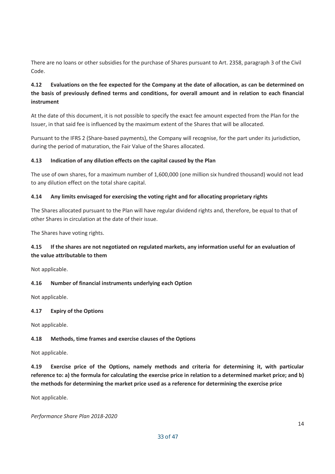There are no loans or other subsidies for the purchase of Shares pursuant to Art. 2358, paragraph 3 of the Civil Code.

## **4.12 Evaluations on the fee expected for the Company at the date of allocation, as can be determined on the basis of previously defined terms and conditions, for overall amount and in relation to each financial instrument**

At the date of this document, it is not possible to specify the exact fee amount expected from the Plan for the Issuer, in that said fee is influenced by the maximum extent of the Shares that will be allocated.

Pursuant to the IFRS 2 (Share-based payments), the Company will recognise, for the part under its jurisdiction, during the period of maturation, the Fair Value of the Shares allocated.

#### **4.13 Indication of any dilution effects on the capital caused by the Plan**

The use of own shares, for a maximum number of 1,600,000 (one million six hundred thousand) would not lead to any dilution effect on the total share capital.

#### **4.14 Any limits envisaged for exercising the voting right and for allocating proprietary rights**

The Shares allocated pursuant to the Plan will have regular dividend rights and, therefore, be equal to that of other Shares in circulation at the date of their issue.

The Shares have voting rights.

## **4.15 If the shares are not negotiated on regulated markets, any information useful for an evaluation of the value attributable to them**

Not applicable.

#### **4.16 Number of financial instruments underlying each Option**

Not applicable.

#### **4.17 Expiry of the Options**

Not applicable.

#### **4.18 Methods, time frames and exercise clauses of the Options**

Not applicable.

**4.19 Exercise price of the Options, namely methods and criteria for determining it, with particular reference to: a) the formula for calculating the exercise price in relation to a determined market price; and b) the methods for determining the market price used as a reference for determining the exercise price**

Not applicable.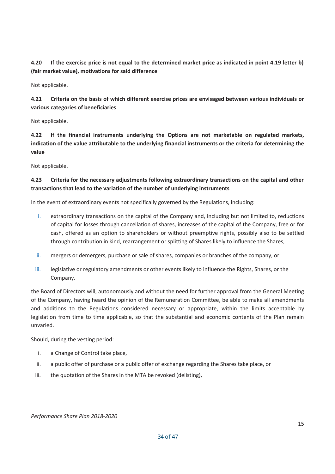**4.20 If the exercise price is not equal to the determined market price as indicated in point 4.19 letter b) (fair market value), motivations for said difference**

Not applicable.

**4.21 Criteria on the basis of which different exercise prices are envisaged between various individuals or various categories of beneficiaries**

Not applicable.

**4.22 If the financial instruments underlying the Options are not marketable on regulated markets, indication of the value attributable to the underlying financial instruments or the criteria for determining the value**

Not applicable.

## **4.23 Criteria for the necessary adjustments following extraordinary transactions on the capital and other transactions that lead to the variation of the number of underlying instruments**

In the event of extraordinary events not specifically governed by the Regulations, including:

- i. extraordinary transactions on the capital of the Company and, including but not limited to, reductions of capital for losses through cancellation of shares, increases of the capital of the Company, free or for cash, offered as an option to shareholders or without preemptive rights, possibly also to be settled through contribution in kind, rearrangement or splitting of Shares likely to influence the Shares,
- ii. mergers or demergers, purchase or sale of shares, companies or branches of the company, or
- iii. legislative or regulatory amendments or other events likely to influence the Rights, Shares, or the Company.

the Board of Directors will, autonomously and without the need for further approval from the General Meeting of the Company, having heard the opinion of the Remuneration Committee, be able to make all amendments and additions to the Regulations considered necessary or appropriate, within the limits acceptable by legislation from time to time applicable, so that the substantial and economic contents of the Plan remain unvaried.

Should, during the vesting period:

- i. a Change of Control take place,
- ii. a public offer of purchase or a public offer of exchange regarding the Shares take place, or
- iii. the quotation of the Shares in the MTA be revoked (delisting),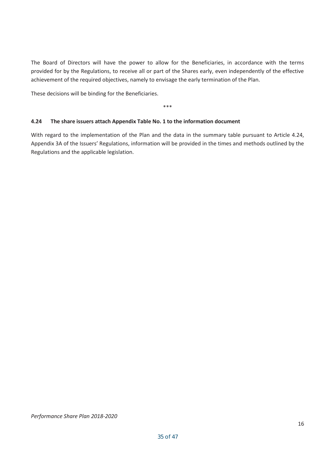The Board of Directors will have the power to allow for the Beneficiaries, in accordance with the terms provided for by the Regulations, to receive all or part of the Shares early, even independently of the effective achievement of the required objectives, namely to envisage the early termination of the Plan.

These decisions will be binding for the Beneficiaries.

\*\*\*

#### **4.24 The share issuers attach Appendix Table No. 1 to the information document**

With regard to the implementation of the Plan and the data in the summary table pursuant to Article 4.24, Appendix 3A of the Issuers' Regulations, information will be provided in the times and methods outlined by the Regulations and the applicable legislation.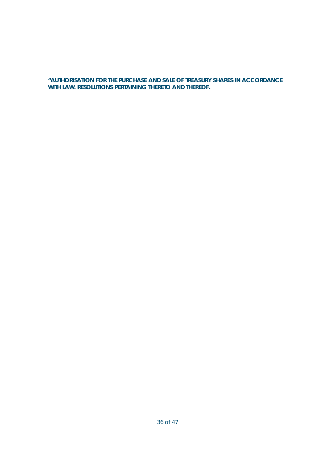**"AUTHORISATION FOR THE PURCHASE AND SALE OF TREASURY SHARES IN ACCORDANCE WITH LAW. RESOLUTIONS PERTAINING THERETO AND THEREOF.**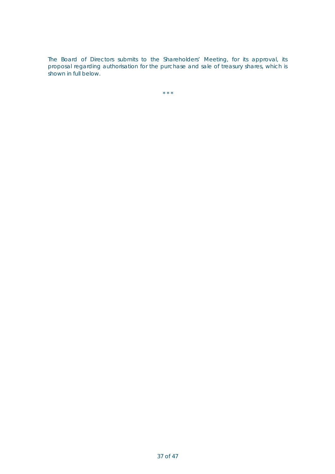The Board of Directors submits to the Shareholders' Meeting, for its approval, its proposal regarding authorisation for the purchase and sale of treasury shares, which is shown in full below.

 $\star \star \star$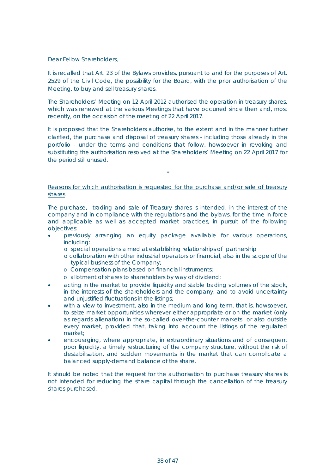Dear Fellow Shareholders,

It is recalled that Art. 23 of the Bylaws provides, pursuant to and for the purposes of Art. 2529 of the Civil Code, the possibility for the Board, with the prior authorisation of the Meeting, to buy and sell treasury shares.

The Shareholders' Meeting on 12 April 2012 authorised the operation in treasury shares, which was renewed at the various Meetings that have occurred since then and, most recently, on the occasion of the meeting of 22 April 2017.

It is proposed that the Shareholders authorise, to the extent and in the manner further clarified, the purchase and disposal of treasury shares - including those already in the portfolio - under the terms and conditions that follow, howsoever in revoking and substituting the authorisation resolved at the Shareholders' Meeting on 22 April 2017 for the period still unused.

#### Reasons for which authorisation is requested for the purchase and/or sale of treasury shares

\*

The purchase, trading and sale of Treasury shares is intended, in the interest of the company and in compliance with the regulations and the bylaws, for the time in force and applicable as well as accepted market practices, in pursuit of the following objectives:

- x previously arranging an equity package available for various operations, including:
	- o special operations aimed at establishing relationships of *partnership*
	- o collaboration with other industrial operators or financial, also in the scope of the typical *business* of the Company;
	- o Compensation plans based on financial instruments;
	- o allotment of shares to shareholders by way of dividend;
- acting in the market to provide liquidity and stable trading volumes of the stock, in the interests of the shareholders and the company, and to avoid uncertainty and unjustified fluctuations in the listings;
- with a view to investment, also in the medium and long term, that is, howsoever, to seize market opportunities wherever either appropriate or on the market (only as regards alienation) in the so-called over-the-counter markets or also outside every market, provided that, taking into account the listings of the regulated market;
- encouraging, where appropriate, in extraordinary situations and of consequent poor liquidity, a timely restructuring of the company structure, without the risk of destabilisation, and sudden movements in the market that can complicate a balanced supply-demand balance of the share.

It should be noted that the request for the authorisation to purchase treasury shares is not intended for reducing the share capital through the cancellation of the treasury shares purchased.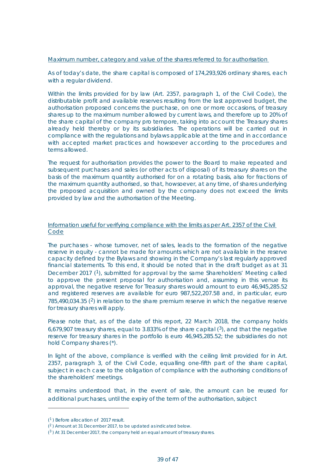#### Maximum number, category and value of the shares referred to for authorisation

As of today's date, the share capital is composed of 174,293,926 ordinary shares, each with a regular dividend.

Within the limits provided for by law (Art. 2357, paragraph 1, of the Civil Code), the distributable profit and available reserves resulting from the last approved budget, the authorisation proposed concerns the purchase, on one or more occasions, of treasury shares up to the maximum number allowed by current laws, and therefore up to 20% of the share capital of the company *pro tempore*, taking into account the Treasury shares already held thereby or by its subsidiaries. The operations will be carried out in compliance with the regulations and bylaws applicable at the time and in accordance with accepted market practices and howsoever according to the procedures and terms allowed.

The request for authorisation provides the power to the Board to make repeated and subsequent purchases and sales (or other acts of disposal) of its treasury shares on the basis of the maximum quantity authorised for on a rotating basis, also for fractions of the maximum quantity authorised, so that, howsoever, at any time, of shares underlying the proposed acquisition and owned by the company does not exceed the limits provided by law and the authorisation of the Meeting.

#### Information useful for verifying compliance with the limits as per Art. 2357 of the Civil Code

The purchases - whose turnover, net of sales, leads to the formation of the negative reserve in equity - cannot be made for amounts which are not available in the reserve capacity defined by the Bylaws and showing in the Company's last regularly approved financial statements. To this end, it should be noted that in the draft budget as at 31 December 2017 (<sup>1</sup>), submitted for approval by the same Shareholders' Meeting called to approve the present proposal for authorisation and, assuming in this venue its approval, the negative reserve for Treasury shares would amount to euro 46,945,285.52 and registered reserves are available for euro 987,522,207.58 and, in particular, euro  $785,490,034.35$  ( $2$ ) in relation to the share premium reserve in which the negative reserve for treasury shares will apply.

Please note that, as of the date of this report, 22 March 2018, the company holds 6,679,907 treasury shares, equal to 3.833% of the share capital  $(3)$ , and that the negative reserve for treasury shares in the portfolio is euro 46,945,285.52; the subsidiaries do not hold Company shares (\*).

In light of the above, compliance is verified with the ceiling limit provided for in Art. 2357, paragraph 3, of the Civil Code, equalling one-fifth part of the share capital, subject in each case to the obligation of compliance with the authorising conditions of the shareholders' meetings.

It remains understood that, in the event of sale, the amount can be reused for additional purchases, until the expiry of the term of the authorisation, subject

<sup>(</sup><sup>1</sup> ) Before allocation of 2017 result.

 $(2)$  Amount at 31 December 2017, to be updated as indicated below.

 $(3)$  At 31 December 2017, the company held an equal amount of treasury shares.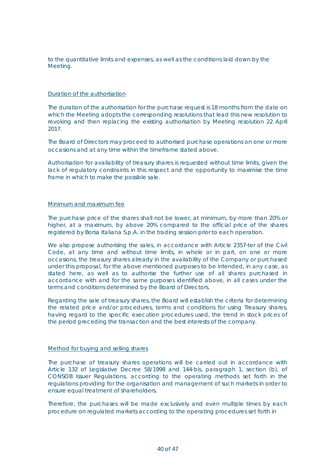to the quantitative limits and expenses, as well as the conditions laid down by the Meeting.

#### Duration of the authorisation

The duration of the authorisation for the purchase request is 18 months from the date on which the Meeting adopts the corresponding resolutions that lead this new resolution to revoking and then replacing the existing authorisation by Meeting resolution 22 April 2017.

The Board of Directors may proceed to authorised purchase operations on one or more occasions and at any time within the timeframe stated above.

Authorisation for availability of treasury shares is requested without time limits, given the lack of regulatory constraints in this respect and the opportunity to maximise the time frame in which to make the possible sale.

#### Minimum and maximum fee

The purchase price of the shares shall not be lower, at minimum, by more than 20% or higher, at a maximum, by above 20% compared to the official price of the shares registered by Borsa Italiana S.p.A. in the trading session prior to each operation.

We also propose authorising the sales, in accordance with Article 2357-*ter* of the Civil Code, at any time and without time limits, in whole or in part, on one or more occasions, the treasury shares already in the availability of the Company or purchased under this proposal, for the above mentioned purposes to be intended, in any case, as stated here, as well as to authorise the further use of all shares purchased in accordance with and for the same purposes identified above, in all cases under the terms and conditions determined by the Board of Directors.

Regarding the sale of treasury shares, the Board will establish the criteria for determining the related price and/or procedures, terms and conditions for using Treasury shares, having regard to the specific execution procedures used, the trend in stock prices of the period preceding the transaction and the best interests of the company.

#### Method for buying and selling shares

The purchase of treasury shares operations will be carried out in accordance with Article 132 of Legislative Decree 58/1998 and 144-bis, paragraph 1, section (b), of CONSOB Issuer Regulations, according to the operating methods set forth in the regulations providing for the organisation and management of such markets in order to ensure equal treatment of shareholders.

Therefore, the purchases will be made exclusively and even multiple times by each procedure on regulated markets according to the operating procedures set forth in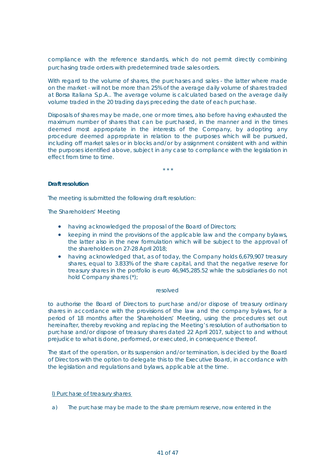compliance with the reference standards, which do not permit directly combining purchasing trade orders with predetermined trade sales orders.

With regard to the volume of shares, the purchases and sales - the latter where made on the market - will not be more than 25% of the average daily volume of shares traded at Borsa Italiana S.p.A.. The average volume is calculated based on the average daily volume traded in the 20 trading days preceding the date of each purchase.

Disposals of shares may be made, one or more times, also before having exhausted the maximum number of shares that can be purchased, in the manner and in the times deemed most appropriate in the interests of the Company, by adopting any procedure deemed appropriate in relation to the purposes which will be pursued, including off market sales or in blocks and/or by assignment consistent with and within the purposes identified above, subject in any case to compliance with the legislation in effect from time to time.

\* \* \*

#### **Draft resolution**

The meeting is submitted the following draft resolution:

The Shareholders' Meeting

- having acknowledged the proposal of the Board of Directors;
- keeping in mind the provisions of the applicable law and the company bylaws, the latter also in the new formulation which will be subject to the approval of the shareholders on 27-28 April 2018;
- having acknowledged that, as of today, the Company holds 6,679,907 treasury shares, equal to 3.833% of the share capital, and that the negative reserve for treasury shares in the portfolio is euro 46,945,285.52 while the subsidiaries do not hold Company shares (\*);

#### resolved

to authorise the Board of Directors to purchase and/or dispose of treasury ordinary shares in accordance with the provisions of the law and the company bylaws, for a period of 18 months after the Shareholders' Meeting, using the procedures set out hereinafter, thereby revoking and replacing the Meeting's resolution of authorisation to purchase and/or dispose of treasury shares dated 22 April 2017, subject to and without prejudice to what is done, performed, or executed, in consequence thereof.

The start of the operation, or its suspension and/or termination, is decided by the Board of Directors with the option to delegate this to the Executive Board, in accordance with the legislation and regulations and bylaws, applicable at the time.

l) Purchase of treasury shares

a) The purchase may be made to the share premium reserve, now entered in the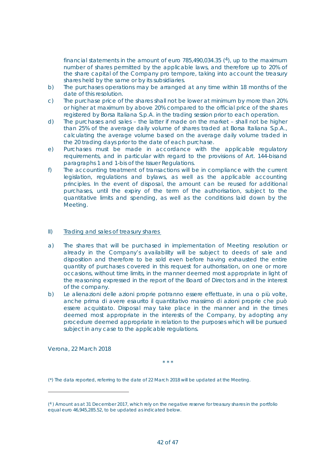financial statements in the amount of euro 785,490,034.35  $(4)$ , up to the maximum number of shares permitted by the applicable laws, and therefore up to 20% of the share capital of the Company *pro tempore*, taking into account the treasury shares held by the same or by its subsidiaries.

- b) The purchases operations may be arranged at any time within 18 months of the date of this resolution.
- c) The purchase price of the shares shall not be lower at minimum by more than 20% or higher at maximum by above 20% compared to the official price of the shares registered by Borsa Italiana S.p.A. in the trading session prior to each operation.
- d) The purchases and sales the latter if made on the market shall not be higher than 25% of the average daily volume of shares traded at Borsa Italiana S.p.A., calculating the average volume based on the average daily volume traded in the 20 trading days prior to the date of each purchase.
- e) Purchases must be made in accordance with the applicable regulatory requirements, and in particular with regard to the provisions of Art. 144-*bis*and paragraphs 1 and 1-bis of the Issuer Regulations.
- f) The accounting treatment of transactions will be in compliance with the current legislation, regulations and bylaws, as well as the applicable accounting principles. In the event of disposal, the amount can be reused for additional purchases, until the expiry of the term of the authorisation, subject to the quantitative limits and spending, as well as the conditions laid down by the Meeting.

#### II) Trading and sales of treasury shares

- a) The shares that will be purchased in implementation of Meeting resolution or already in the Company's availability will be subject to deeds of sale and disposition and therefore to be sold even before having exhausted the entire quantity of purchases covered in this request for authorisation, on one or more occasions, without time limits, in the manner deemed most appropriate in light of the reasoning expressed in the report of the Board of Directors and in the interest of the company.
- b) Le alienazioni delle azioni proprie potranno essere effettuate, in una o più volte, anche prima di avere esaurito il quantitativo massimo di azioni proprie che può essere acquistato. Disposal may take place in the manner and in the times deemed most appropriate in the interests of the Company, by adopting any procedure deemed appropriate in relation to the purposes which will be pursued subject in any case to the applicable regulations.

Verona, 22 March 2018

\* \* \*

(\*) The data reported, referring to the date of 22 March 2018 will be updated at the Meeting.

 $(4)$  Amount as at 31 December 2017, which rely on the negative reserve for treasury shares in the portfolio equal euro 46,945,285.52, to be updated as indicated below.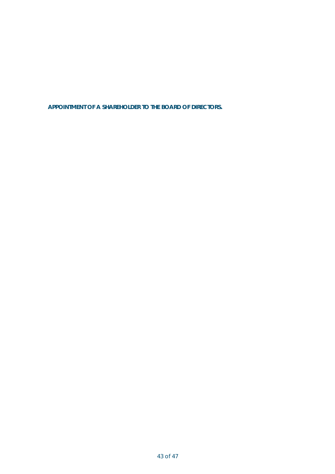**APPOINTMENT OF A SHAREHOLDER TO THE BOARD OF DIRECTORS.**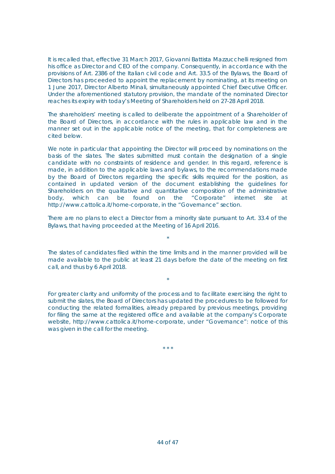It is recalled that, effective 31 March 2017, Giovanni Battista Mazzucchelli resigned from his office as Director and CEO of the company. Consequently, in accordance with the provisions of Art. 2386 of the Italian civil code and Art. 33.5 of the Bylaws, the Board of Directors has proceeded to appoint the replacement by nominating, at its meeting on 1 June 2017, Director Alberto Minali, simultaneously appointed Chief Executive Officer. Under the aforementioned statutory provision, the mandate of the nominated Director reaches its expiry with today's Meeting of Shareholders held on 27-28 April 2018.

The shareholders' meeting is called to deliberate the appointment of a Shareholder of the Board of Directors, in accordance with the rules in applicable law and in the manner set out in the applicable notice of the meeting, that for completeness are cited below.

We note in particular that appointing the Director will proceed by nominations on the basis of the slates. The slates submitted must contain the designation of a single candidate with no constraints of residence and gender. In this regard, reference is made, in addition to the applicable laws and bylaws, to the recommendations made by the Board of Directors regarding the specific skills required for the position, as contained in updated version of the document establishing the guidelines for Shareholders on the qualitative and quantitative composition of the administrative body, which can be found on the "Corporate" internet site at http://www.cattolica.it/home-corporate, in the "Governance" section.

There are no plans to elect a Director from a minority slate pursuant to Art. 33.4 of the Bylaws, that having proceeded at the Meeting of 16 April 2016.

\*

The slates of candidates filed within the time limits and in the manner provided will be made available to the public at least 21 days before the date of the meeting on first call, and thus by 6 April 2018.

\*

For greater clarity and uniformity of the process and to facilitate exercising the right to submit the slates, the Board of Directors has updated the procedures to be followed for conducting the related formalities, already prepared by previous meetings, providing for filing the same at the registered office and available at the company's Corporate website, http://www.cattolica.it/home-corporate, under "Governance": notice of this was given in the call for the meeting.

\* \* \*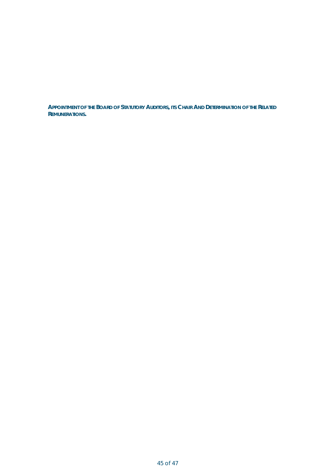**APPOINTMENT OF THE BOARD OF STATUTORY AUDITORS, ITS CHAIR AND DETERMINATION OF THE RELATED REMUNERATIONS.**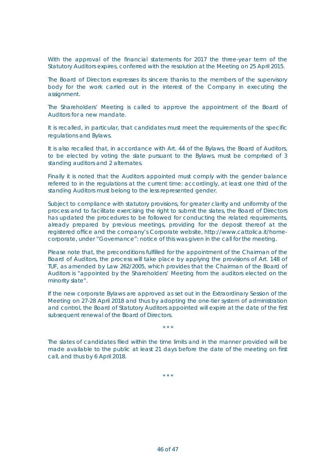With the approval of the financial statements for 2017 the three-year term of the Statutory Auditors expires, conferred with the resolution at the Meeting on 25 April 2015.

The Board of Directors expresses its sincere thanks to the members of the supervisory body for the work carried out in the interest of the Company in executing the assignment.

The Shareholders' Meeting is called to approve the appointment of the Board of Auditors for a new mandate.

It is recalled, in particular, that candidates must meet the requirements of the specific regulations and Bylaws.

It is also recalled that, in accordance with Art. 44 of the Bylaws, the Board of Auditors, to be elected by voting the slate pursuant to the Bylaws, must be comprised of 3 standing auditors and 2 alternates.

Finally it is noted that the Auditors appointed must comply with the gender balance referred to in the regulations at the current time: accordingly, at least one third of the standing Auditors must belong to the less represented gender.

Subject to compliance with statutory provisions, for greater clarity and uniformity of the process and to facilitate exercising the right to submit the slates, the Board of Directors has updated the procedures to be followed for conducting the related requirements, already prepared by previous meetings, providing for the deposit thereof at the registered office and the company's Corporate website, http://www.cattolica.it/homecorporate, under "Governance": notice of this was given in the call for the meeting.

Please note that, the preconditions fulfilled for the appointment of the Chairman of the Board of Auditors, the process will take place by applying the provisions of Art. 148 of TUF, as amended by Law 262/2005, which provides that the Chairman of the Board of Auditors is "appointed by the Shareholders' Meeting from the auditors elected on the minority slate".

If the new corporate Bylaws are approved as set out in the Extraordinary Session of the Meeting on 27-28 April 2018 and thus by adopting the one-tier system of administration and control, the Board of Statutory Auditors appointed will expire at the date of the first subsequent renewal of the Board of Directors.

\* \* \*

The slates of candidates filed within the time limits and in the manner provided will be made available to the public at least 21 days before the date of the meeting on first call, and thus by 6 April 2018.

\* \* \*